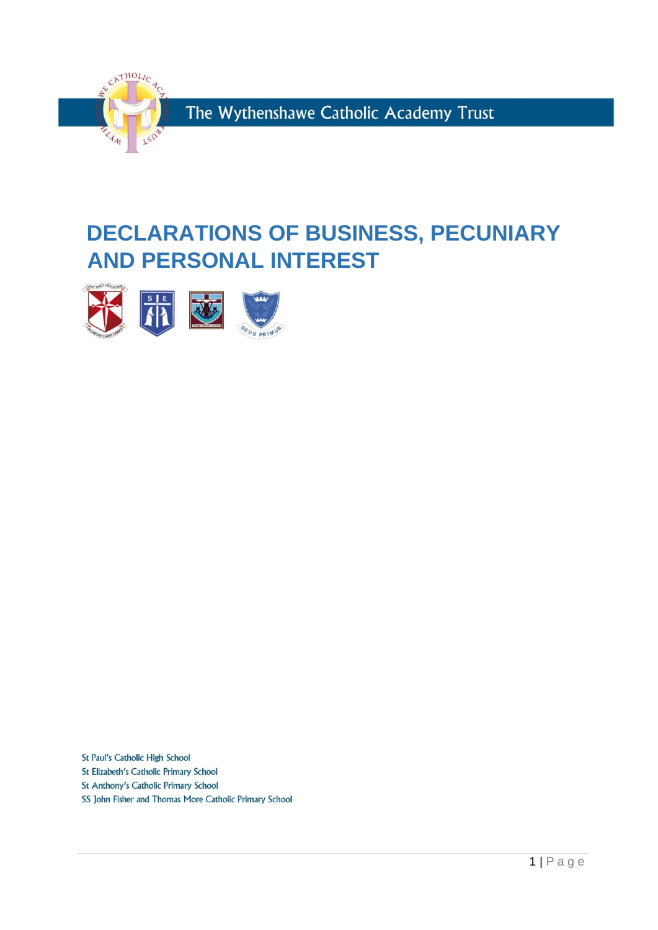

# **DECLARATIONS OF BUSINESS, PECUNIARY AND PERSONAL INTEREST**



St Paul's Catholic High School

St Elizabeth's Catholic Primary School St Anthony's Catholic Primary School

SS John Fisher and Thomas More Catholic Primary School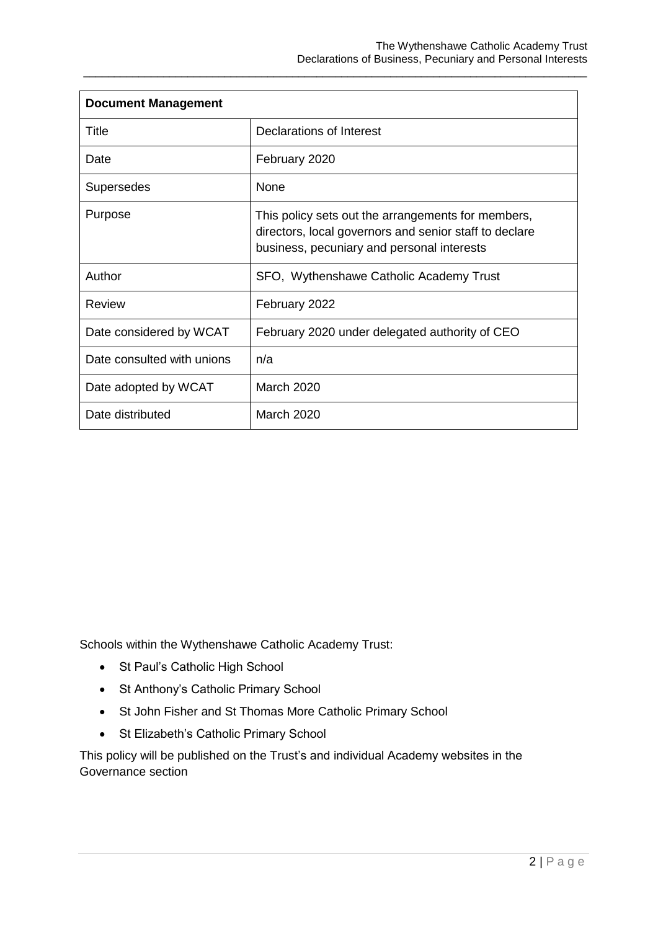| <b>Document Management</b> |                                                                                                                                                            |  |  |
|----------------------------|------------------------------------------------------------------------------------------------------------------------------------------------------------|--|--|
| Title                      | Declarations of Interest                                                                                                                                   |  |  |
| Date                       | February 2020                                                                                                                                              |  |  |
| Supersedes                 | <b>None</b>                                                                                                                                                |  |  |
| Purpose                    | This policy sets out the arrangements for members,<br>directors, local governors and senior staff to declare<br>business, pecuniary and personal interests |  |  |
| Author                     | SFO, Wythenshawe Catholic Academy Trust                                                                                                                    |  |  |
| Review                     | February 2022                                                                                                                                              |  |  |
| Date considered by WCAT    | February 2020 under delegated authority of CEO                                                                                                             |  |  |
| Date consulted with unions | n/a                                                                                                                                                        |  |  |
| Date adopted by WCAT       | <b>March 2020</b>                                                                                                                                          |  |  |
| Date distributed           | <b>March 2020</b>                                                                                                                                          |  |  |

\_\_\_\_\_\_\_\_\_\_\_\_\_\_\_\_\_\_\_\_\_\_\_\_\_\_\_\_\_\_\_\_\_\_\_\_\_\_\_\_\_\_\_\_\_\_\_\_\_\_\_\_\_\_\_\_\_\_\_\_\_\_\_\_\_\_\_\_\_\_\_\_\_\_\_\_\_\_\_\_\_\_

Schools within the Wythenshawe Catholic Academy Trust:

- St Paul's Catholic High School
- St Anthony's Catholic Primary School
- St John Fisher and St Thomas More Catholic Primary School
- St Elizabeth's Catholic Primary School

This policy will be published on the Trust's and individual Academy websites in the Governance section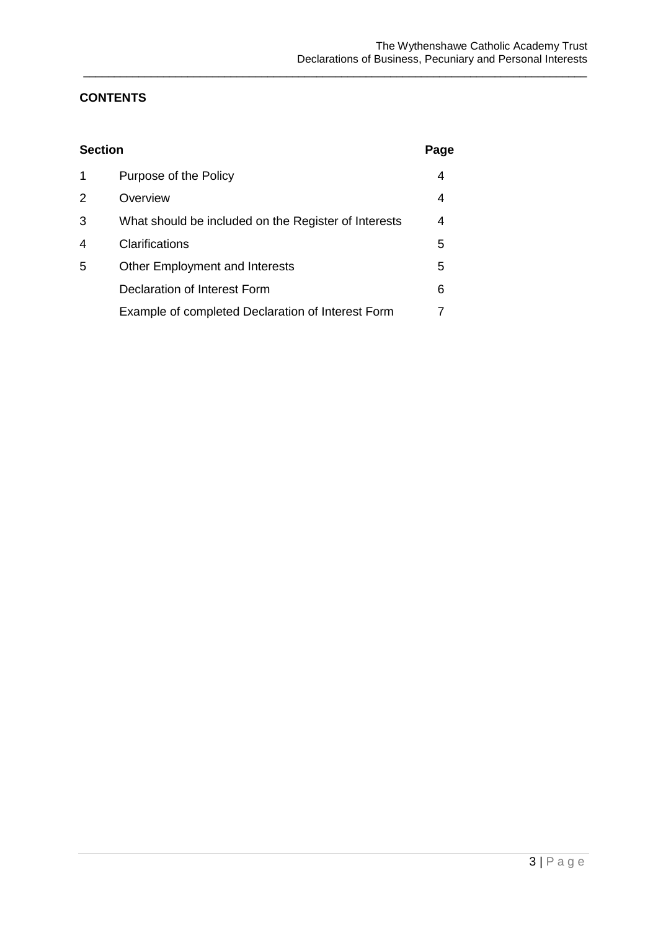### **CONTENTS**

| <b>Section</b> |                                                      | Page |
|----------------|------------------------------------------------------|------|
| 1              | Purpose of the Policy                                | 4    |
| 2              | Overview                                             | 4    |
| 3              | What should be included on the Register of Interests | 4    |
| 4              | Clarifications                                       | 5    |
| 5              | <b>Other Employment and Interests</b>                | 5    |
|                | Declaration of Interest Form                         | 6    |
|                | Example of completed Declaration of Interest Form    |      |

\_\_\_\_\_\_\_\_\_\_\_\_\_\_\_\_\_\_\_\_\_\_\_\_\_\_\_\_\_\_\_\_\_\_\_\_\_\_\_\_\_\_\_\_\_\_\_\_\_\_\_\_\_\_\_\_\_\_\_\_\_\_\_\_\_\_\_\_\_\_\_\_\_\_\_\_\_\_\_\_\_\_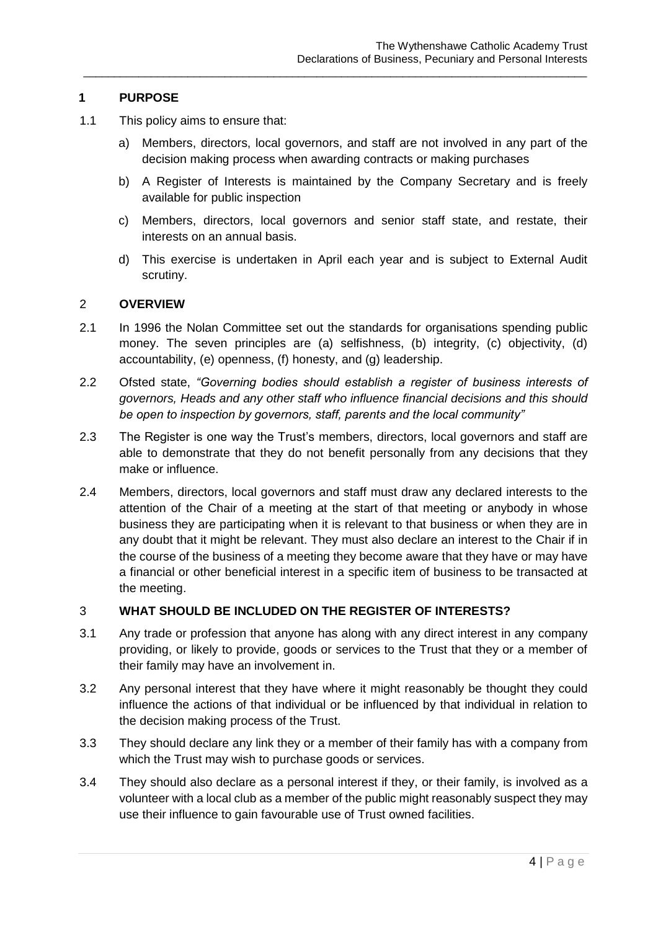#### **1 PURPOSE**

- 1.1 This policy aims to ensure that:
	- a) Members, directors, local governors, and staff are not involved in any part of the decision making process when awarding contracts or making purchases

\_\_\_\_\_\_\_\_\_\_\_\_\_\_\_\_\_\_\_\_\_\_\_\_\_\_\_\_\_\_\_\_\_\_\_\_\_\_\_\_\_\_\_\_\_\_\_\_\_\_\_\_\_\_\_\_\_\_\_\_\_\_\_\_\_\_\_\_\_\_\_\_\_\_\_\_\_\_\_\_\_\_

- b) A Register of Interests is maintained by the Company Secretary and is freely available for public inspection
- c) Members, directors, local governors and senior staff state, and restate, their interests on an annual basis.
- d) This exercise is undertaken in April each year and is subject to External Audit scrutiny.

#### 2 **OVERVIEW**

- 2.1 In 1996 the Nolan Committee set out the standards for organisations spending public money. The seven principles are (a) selfishness, (b) integrity, (c) objectivity, (d) accountability, (e) openness, (f) honesty, and (g) leadership.
- 2.2 Ofsted state, *"Governing bodies should establish a register of business interests of governors, Heads and any other staff who influence financial decisions and this should be open to inspection by governors, staff, parents and the local community"*
- 2.3 The Register is one way the Trust's members, directors, local governors and staff are able to demonstrate that they do not benefit personally from any decisions that they make or influence.
- 2.4 Members, directors, local governors and staff must draw any declared interests to the attention of the Chair of a meeting at the start of that meeting or anybody in whose business they are participating when it is relevant to that business or when they are in any doubt that it might be relevant. They must also declare an interest to the Chair if in the course of the business of a meeting they become aware that they have or may have a financial or other beneficial interest in a specific item of business to be transacted at the meeting.

#### 3 **WHAT SHOULD BE INCLUDED ON THE REGISTER OF INTERESTS?**

- 3.1 Any trade or profession that anyone has along with any direct interest in any company providing, or likely to provide, goods or services to the Trust that they or a member of their family may have an involvement in.
- 3.2 Any personal interest that they have where it might reasonably be thought they could influence the actions of that individual or be influenced by that individual in relation to the decision making process of the Trust.
- 3.3 They should declare any link they or a member of their family has with a company from which the Trust may wish to purchase goods or services.
- 3.4 They should also declare as a personal interest if they, or their family, is involved as a volunteer with a local club as a member of the public might reasonably suspect they may use their influence to gain favourable use of Trust owned facilities.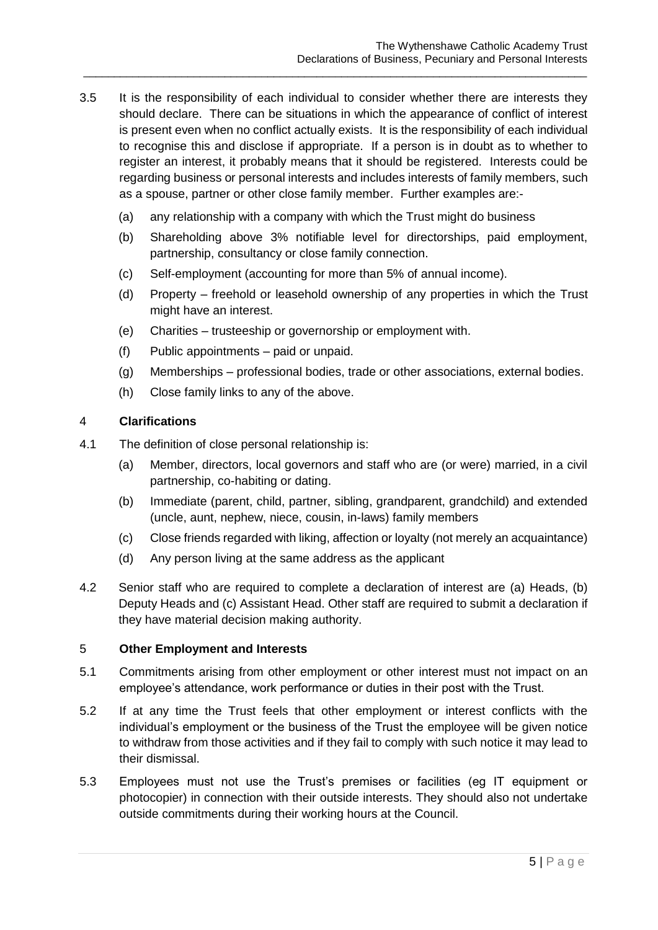3.5 It is the responsibility of each individual to consider whether there are interests they should declare. There can be situations in which the appearance of conflict of interest is present even when no conflict actually exists. It is the responsibility of each individual to recognise this and disclose if appropriate. If a person is in doubt as to whether to register an interest, it probably means that it should be registered. Interests could be regarding business or personal interests and includes interests of family members, such as a spouse, partner or other close family member. Further examples are:-

\_\_\_\_\_\_\_\_\_\_\_\_\_\_\_\_\_\_\_\_\_\_\_\_\_\_\_\_\_\_\_\_\_\_\_\_\_\_\_\_\_\_\_\_\_\_\_\_\_\_\_\_\_\_\_\_\_\_\_\_\_\_\_\_\_\_\_\_\_\_\_\_\_\_\_\_\_\_\_\_\_\_

- (a) any relationship with a company with which the Trust might do business
- (b) Shareholding above 3% notifiable level for directorships, paid employment, partnership, consultancy or close family connection.
- (c) Self-employment (accounting for more than 5% of annual income).
- (d) Property freehold or leasehold ownership of any properties in which the Trust might have an interest.
- (e) Charities trusteeship or governorship or employment with.
- (f) Public appointments paid or unpaid.
- (g) Memberships professional bodies, trade or other associations, external bodies.
- (h) Close family links to any of the above.

#### 4 **Clarifications**

- 4.1 The definition of close personal relationship is:
	- (a) Member, directors, local governors and staff who are (or were) married, in a civil partnership, co-habiting or dating.
	- (b) Immediate (parent, child, partner, sibling, grandparent, grandchild) and extended (uncle, aunt, nephew, niece, cousin, in-laws) family members
	- (c) Close friends regarded with liking, affection or loyalty (not merely an acquaintance)
	- (d) Any person living at the same address as the applicant
- 4.2 Senior staff who are required to complete a declaration of interest are (a) Heads, (b) Deputy Heads and (c) Assistant Head. Other staff are required to submit a declaration if they have material decision making authority.

#### 5 **Other Employment and Interests**

- 5.1 Commitments arising from other employment or other interest must not impact on an employee's attendance, work performance or duties in their post with the Trust.
- 5.2 If at any time the Trust feels that other employment or interest conflicts with the individual's employment or the business of the Trust the employee will be given notice to withdraw from those activities and if they fail to comply with such notice it may lead to their dismissal.
- 5.3 Employees must not use the Trust's premises or facilities (eg IT equipment or photocopier) in connection with their outside interests. They should also not undertake outside commitments during their working hours at the Council.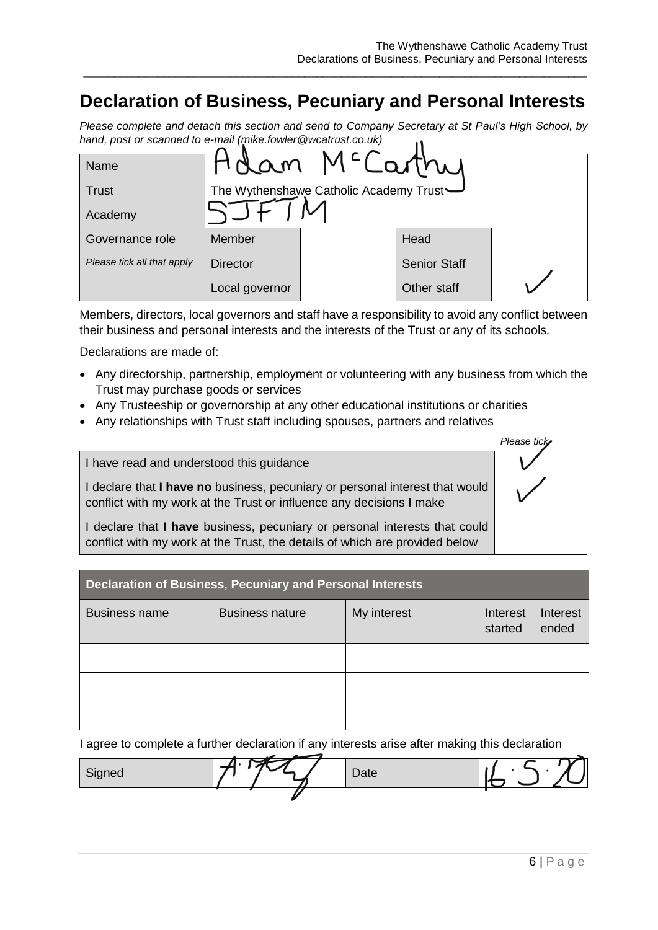## **Declaration of Business, Pecuniary and Personal Interests**

\_\_\_\_\_\_\_\_\_\_\_\_\_\_\_\_\_\_\_\_\_\_\_\_\_\_\_\_\_\_\_\_\_\_\_\_\_\_\_\_\_\_\_\_\_\_\_\_\_\_\_\_\_\_\_\_\_\_\_\_\_\_\_\_\_\_\_\_\_\_\_\_\_\_\_\_\_\_\_\_\_\_

*Please complete and detach this section and send to Company Secretary at St Paul's High School, by hand, post or scanned to e-mail (mike.fowler@wcatrust.co.uk)*  $\ddot{\phantom{a}}$ 

| Name                       | dam                                    |  |                     |  |
|----------------------------|----------------------------------------|--|---------------------|--|
| <b>Trust</b>               | The Wythenshawe Catholic Academy Trust |  |                     |  |
| Academy                    |                                        |  |                     |  |
| Governance role            | Member                                 |  | Head                |  |
| Please tick all that apply | <b>Director</b>                        |  | <b>Senior Staff</b> |  |
|                            | Local governor                         |  | Other staff         |  |

Members, directors, local governors and staff have a responsibility to avoid any conflict between their business and personal interests and the interests of the Trust or any of its schools.

Declarations are made of:

- Any directorship, partnership, employment or volunteering with any business from which the Trust may purchase goods or services
- Any Trusteeship or governorship at any other educational institutions or charities
- Any relationships with Trust staff including spouses, partners and relatives

|                                                                                                                                                           | Please tick |
|-----------------------------------------------------------------------------------------------------------------------------------------------------------|-------------|
| I have read and understood this guidance                                                                                                                  |             |
| I declare that I have no business, pecuniary or personal interest that would<br>conflict with my work at the Trust or influence any decisions I make      |             |
| I declare that I have business, pecuniary or personal interests that could<br>conflict with my work at the Trust, the details of which are provided below |             |

| <b>Declaration of Business, Pecuniary and Personal Interests</b> |                                                                                   |  |  |  |  |
|------------------------------------------------------------------|-----------------------------------------------------------------------------------|--|--|--|--|
| <b>Business name</b>                                             | My interest<br><b>Business nature</b><br>Interest<br>Interest<br>ended<br>started |  |  |  |  |
|                                                                  |                                                                                   |  |  |  |  |
|                                                                  |                                                                                   |  |  |  |  |
|                                                                  |                                                                                   |  |  |  |  |

I agree to complete a further declaration if any interests arise after making this declaration

| Signed | Date |  |
|--------|------|--|
|        |      |  |